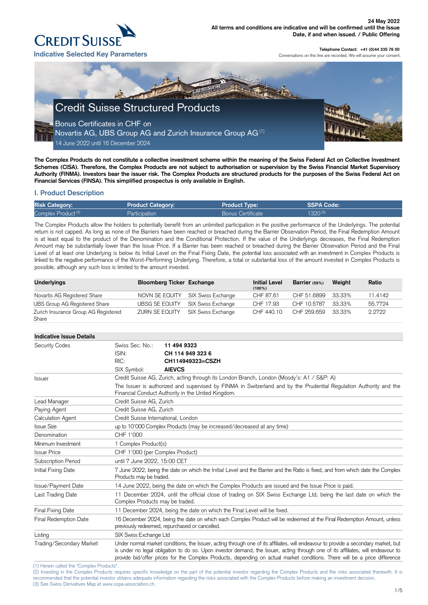(2) Investing in the Complex Products requires specific knowledge on the part of the potential investor regarding the Complex Products and the risks associated therewith. It is recommended that the potential investor obtains adequate information regarding the risks associated with the Complex Products before making an investment decision. (3) See Swiss Derivatives Map at www.sspa-association.ch.



**Telephone Contact: +41 (0)44 335 76 00**

Conversations on this line are recorded. We will assume your consent.

**The Complex Products do not constitute a collective investment scheme within the meaning of the Swiss Federal Act on Collective Investment Schemes (CISA). Therefore, the Complex Products are not subject to authorisation or supervision by the Swiss Financial Market Supervisory Authority (FINMA). Investors bear the issuer risk. The Complex Products are structured products for the purposes of the Swiss Federal Act on Financial Services (FINSA). This simplified prospectus is only available in English.**

# **I. Product Description**

| <b>Risk Category:</b>          | <b>Product Category:</b> | <b>Product Type:</b>     | SSPA Code:   |
|--------------------------------|--------------------------|--------------------------|--------------|
| Complex Product <sup>(2)</sup> | Participation            | <b>Bonus Certificate</b> | $1320^{(3)}$ |

The Complex Products allow the holders to potentially benefit from an unlimited participation in the positive performance of the Underlyings. The potential return is not capped. As long as none of the Barriers have been reached or breached during the Barrier Observation Period, the Final Redemption Amount is at least equal to the product of the Denomination and the Conditional Protection. If the value of the Underlyings decreases, the Final Redemption Amount may be substantially lower than the Issue Price. If a Barrier has been reached or breached during the Barrier Observation Period and the Final Level of at least one Underlying is below its Initial Level on the Final Fixing Date, the potential loss associated with an investment in Complex Products is linked to the negative performance of the Worst-Performing Underlying. Therefore, a total or substantial loss of the amount invested in Complex Products is possible, although any such loss is limited to the amount invested.

| <b>Indicative Issue Details</b>           |                                                                                                                                                                                                                                                                                                                                                                                                       |                                                                                                                                                                                                                                                                       |  |  |
|-------------------------------------------|-------------------------------------------------------------------------------------------------------------------------------------------------------------------------------------------------------------------------------------------------------------------------------------------------------------------------------------------------------------------------------------------------------|-----------------------------------------------------------------------------------------------------------------------------------------------------------------------------------------------------------------------------------------------------------------------|--|--|
| <b>Security Codes</b>                     | Swiss Sec. No.:<br>ISIN:<br>RIC:                                                                                                                                                                                                                                                                                                                                                                      | 11 494 9323<br>CH 114 949 323 6<br>CH114949323=CSZH                                                                                                                                                                                                                   |  |  |
|                                           | SIX Symbol:                                                                                                                                                                                                                                                                                                                                                                                           | <b>AIEVCS</b>                                                                                                                                                                                                                                                         |  |  |
| <b>Issuer</b>                             |                                                                                                                                                                                                                                                                                                                                                                                                       | Credit Suisse AG, Zurich, acting through its London Branch, London (Moody's: A1 / S&P: A)<br>The Issuer is authorized and supervised by FINMA in Switzerland and by the Prudential Regulation Authority and the<br>Financial Conduct Authority in the United Kingdom. |  |  |
| Lead Manager                              | Credit Suisse AG, Zurich                                                                                                                                                                                                                                                                                                                                                                              |                                                                                                                                                                                                                                                                       |  |  |
| Paying Agent                              | Credit Suisse AG, Zurich                                                                                                                                                                                                                                                                                                                                                                              |                                                                                                                                                                                                                                                                       |  |  |
| Calculation Agent                         | Credit Suisse International, London                                                                                                                                                                                                                                                                                                                                                                   |                                                                                                                                                                                                                                                                       |  |  |
| <b>Issue Size</b>                         | up to 10'000 Complex Products (may be increased/decreased at any time)                                                                                                                                                                                                                                                                                                                                |                                                                                                                                                                                                                                                                       |  |  |
| Denomination                              | CHF 1'000                                                                                                                                                                                                                                                                                                                                                                                             |                                                                                                                                                                                                                                                                       |  |  |
| Minimum Investment                        |                                                                                                                                                                                                                                                                                                                                                                                                       | 1 Complex Product(s)                                                                                                                                                                                                                                                  |  |  |
| <b>Issue Price</b>                        |                                                                                                                                                                                                                                                                                                                                                                                                       | CHF 1'000 (per Complex Product)                                                                                                                                                                                                                                       |  |  |
| <b>Subscription Period</b>                |                                                                                                                                                                                                                                                                                                                                                                                                       | until 7 June 2022, 15:00 CET                                                                                                                                                                                                                                          |  |  |
| Initial Fixing Date                       |                                                                                                                                                                                                                                                                                                                                                                                                       | 7 June 2022, being the date on which the Initial Level and the Barrier and the Ratio is fixed, and from which date the Complex<br>Products may be traded.                                                                                                             |  |  |
| Issue/Payment Date                        |                                                                                                                                                                                                                                                                                                                                                                                                       | 14 June 2022, being the date on which the Complex Products are issued and the Issue Price is paid.                                                                                                                                                                    |  |  |
| Last Trading Date                         | Complex Products may be traded.                                                                                                                                                                                                                                                                                                                                                                       | 11 December 2024, until the official close of trading on SIX Swiss Exchange Ltd, being the last date on which the                                                                                                                                                     |  |  |
| Final Fixing Date                         |                                                                                                                                                                                                                                                                                                                                                                                                       | 11 December 2024, being the date on which the Final Level will be fixed.                                                                                                                                                                                              |  |  |
| Final Redemption Date                     | 16 December 2024, being the date on which each Complex Product will be redeemed at the Final Redemption Amount, unless<br>previously redeemed, repurchased or cancelled.                                                                                                                                                                                                                              |                                                                                                                                                                                                                                                                       |  |  |
| Listing                                   | SIX Swiss Exchange Ltd                                                                                                                                                                                                                                                                                                                                                                                |                                                                                                                                                                                                                                                                       |  |  |
| Trading/Secondary Market                  | Under normal market conditions, the Issuer, acting through one of its affiliates, will endeavour to provide a secondary market, but<br>is under no legal obligation to do so. Upon investor demand, the Issuer, acting through one of its affiliates, will endeavour to<br>provide bid/offer prices for the Complex Products, depending on actual market conditions. There will be a price difference |                                                                                                                                                                                                                                                                       |  |  |
| (1) Herein called the "Complex Products". |                                                                                                                                                                                                                                                                                                                                                                                                       |                                                                                                                                                                                                                                                                       |  |  |

| <b>Underlyings</b>                   | <b>Bloomberg Ticker Exchange</b> |                           | <b>Initial Level</b><br>$(100\%)$ | Barrier (59%) | Weight | Ratio   |
|--------------------------------------|----------------------------------|---------------------------|-----------------------------------|---------------|--------|---------|
| Novartis AG Registered Share         | NOVN SE EQUITY                   | SIX Swiss Exchange        | CHF 87.61                         | CHF 51.6899   | 33.33% | 11.4142 |
| <b>UBS Group AG Registered Share</b> | <b>UBSG SE EQUITY</b>            | <b>SIX Swiss Exchange</b> | CHF 17.93                         | CHF 10.5787   | 33.33% | 55.7724 |
| Zurich Insurance Group AG Registered | ZURN SE EQUITY                   | <b>SIX Swiss Exchange</b> | CHF 440.10                        | CHF 259.659   | 33.33% | 2.2722  |
| Share                                |                                  |                           |                                   |               |        |         |

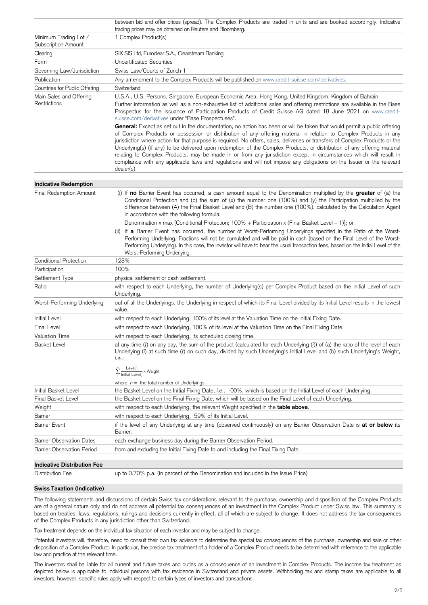|                                                   | between bid and offer prices (spread). The Complex Products are traded in units and are booked accordingly. Indicative<br>trading prices may be obtained on Reuters and Bloomberg.                                                                                                                                                                                                                                                                                                                                                                                                                                                                                                                                                                                     |
|---------------------------------------------------|------------------------------------------------------------------------------------------------------------------------------------------------------------------------------------------------------------------------------------------------------------------------------------------------------------------------------------------------------------------------------------------------------------------------------------------------------------------------------------------------------------------------------------------------------------------------------------------------------------------------------------------------------------------------------------------------------------------------------------------------------------------------|
| Minimum Trading Lot /<br>Subscription Amount      | 1 Complex Product(s)                                                                                                                                                                                                                                                                                                                                                                                                                                                                                                                                                                                                                                                                                                                                                   |
| Clearing                                          | SIX SIS Ltd, Euroclear S.A., Clearstream Banking                                                                                                                                                                                                                                                                                                                                                                                                                                                                                                                                                                                                                                                                                                                       |
| Form                                              | <b>Uncertificated Securities</b>                                                                                                                                                                                                                                                                                                                                                                                                                                                                                                                                                                                                                                                                                                                                       |
| Governing Law/Jurisdiction                        | Swiss Law/Courts of Zurich 1                                                                                                                                                                                                                                                                                                                                                                                                                                                                                                                                                                                                                                                                                                                                           |
| Publication                                       | Any amendment to the Complex Products will be published on www.credit-suisse.com/derivatives.                                                                                                                                                                                                                                                                                                                                                                                                                                                                                                                                                                                                                                                                          |
| Countries for Public Offering                     | Switzerland                                                                                                                                                                                                                                                                                                                                                                                                                                                                                                                                                                                                                                                                                                                                                            |
| Main Sales and Offering<br>Restrictions           | U.S.A., U.S. Persons, Singapore, European Economic Area, Hong Kong, United Kingdom, Kingdom of Bahrain<br>Further information as well as a non-exhaustive list of additional sales and offering restrictions are available in the Base<br>Prospectus for the issuance of Participation Products of Credit Suisse AG dated 18 June 2021 on www.credit-<br>suisse.com/derivatives under "Base Prospectuses".                                                                                                                                                                                                                                                                                                                                                             |
|                                                   | General: Except as set out in the documentation, no action has been or will be taken that would permit a public offering<br>of Complex Products or possession or distribution of any offering material in relation to Complex Products in any<br>jurisdiction where action for that purpose is required. No offers, sales, deliveries or transfers of Complex Products or the<br>Underlying(s) (if any) to be delivered upon redemption of the Complex Products, or distribution of any offering material<br>relating to Complex Products, may be made in or from any jurisdiction except in circumstances which will result in<br>compliance with any applicable laws and regulations and will not impose any obligations on the Issuer or the relevant<br>dealer(s). |
| <b>Indicative Redemption</b>                      |                                                                                                                                                                                                                                                                                                                                                                                                                                                                                                                                                                                                                                                                                                                                                                        |
| <b>Final Redemption Amount</b>                    | (i) If no Barrier Event has occurred, a cash amount equal to the Denomination multiplied by the greater of (a) the<br>Conditional Protection and (b) the sum of (x) the number one (100%) and (y) the Participation multiplied by the<br>difference between (A) the Final Basket Level and (B) the number one (100%), calculated by the Calculation Agent<br>in accordance with the following formula:                                                                                                                                                                                                                                                                                                                                                                 |
|                                                   | Denomination x max [Conditional Protection; 100% + Participation x (Final Basket Level - 1)]; or                                                                                                                                                                                                                                                                                                                                                                                                                                                                                                                                                                                                                                                                       |
|                                                   | (ii) If a Barrier Event has occurred, the number of Worst-Performing Underlyings specified in the Ratio of the Worst-<br>Performing Underlying. Fractions will not be cumulated and will be paid in cash (based on the Final Level of the Worst-<br>Performing Underlying). In this case, the investor will have to bear the usual transaction fees, based on the Initial Level of the<br>Worst-Performing Underlying.                                                                                                                                                                                                                                                                                                                                                 |
| <b>Conditional Protection</b>                     | 123%                                                                                                                                                                                                                                                                                                                                                                                                                                                                                                                                                                                                                                                                                                                                                                   |
| Participation                                     | 100%                                                                                                                                                                                                                                                                                                                                                                                                                                                                                                                                                                                                                                                                                                                                                                   |
| Settlement Type                                   | physical settlement or cash settlement.                                                                                                                                                                                                                                                                                                                                                                                                                                                                                                                                                                                                                                                                                                                                |
| Ratio                                             | with respect to each Underlying, the number of Underlying(s) per Complex Product based on the Initial Level of such<br>Underlying.                                                                                                                                                                                                                                                                                                                                                                                                                                                                                                                                                                                                                                     |
| Worst-Performing Underlying                       | out of all the Underlyings, the Underlying in respect of which its Final Level divided by its Initial Level results in the lowest<br>value.                                                                                                                                                                                                                                                                                                                                                                                                                                                                                                                                                                                                                            |
| <b>Initial Level</b>                              | with respect to each Underlying, 100% of its level at the Valuation Time on the Initial Fixing Date.                                                                                                                                                                                                                                                                                                                                                                                                                                                                                                                                                                                                                                                                   |
| <b>Final Level</b>                                | with respect to each Underlying, 100% of its level at the Valuation Time on the Final Fixing Date.                                                                                                                                                                                                                                                                                                                                                                                                                                                                                                                                                                                                                                                                     |
| <b>Valuation Time</b>                             | with respect to each Underlying, its scheduled closing time.                                                                                                                                                                                                                                                                                                                                                                                                                                                                                                                                                                                                                                                                                                           |
| <b>Basket Level</b>                               | at any time $(t)$ on any day, the sum of the product (calculated for each Underlying $(i)$ ) of (a) the ratio of the level of each<br>Underlying (i) at such time (t) on such day, divided by such Underlying's Initial Level and (b) such Underlying's Weight,<br>i.e.:                                                                                                                                                                                                                                                                                                                                                                                                                                                                                               |
|                                                   | $\sum_{i}^{n} \frac{\text{Level}_i^{\text{t}}}{\text{Initial Level}_i} \times \text{Weight}_i$                                                                                                                                                                                                                                                                                                                                                                                                                                                                                                                                                                                                                                                                         |
|                                                   | where, $n =$ the total number of Underlyings.                                                                                                                                                                                                                                                                                                                                                                                                                                                                                                                                                                                                                                                                                                                          |
| <b>Initial Basket Level</b><br>Final Basket Level | the Basket Level on the Initial Fixing Date, i.e., 100%, which is based on the Initial Level of each Underlying.<br>the Basket Level on the Final Fixing Date, which will be based on the Final Level of each Underlying.                                                                                                                                                                                                                                                                                                                                                                                                                                                                                                                                              |
| Weight                                            | with respect to each Underlying, the relevant Weight specified in the table above.                                                                                                                                                                                                                                                                                                                                                                                                                                                                                                                                                                                                                                                                                     |
| <b>Barrier</b>                                    | with respect to each Underlying, 59% of its Initial Level.                                                                                                                                                                                                                                                                                                                                                                                                                                                                                                                                                                                                                                                                                                             |
| <b>Barrier Event</b>                              | if the level of any Underlying at any time (observed continuously) on any Barrier Observation Date is at or below its<br>Barrier.                                                                                                                                                                                                                                                                                                                                                                                                                                                                                                                                                                                                                                      |
| <b>Barrier Observation Dates</b>                  | each exchange business day during the Barrier Observation Period.                                                                                                                                                                                                                                                                                                                                                                                                                                                                                                                                                                                                                                                                                                      |
| <b>Barrier Observation Period</b>                 | from and excluding the Initial Fixing Date to and including the Final Fixing Date.                                                                                                                                                                                                                                                                                                                                                                                                                                                                                                                                                                                                                                                                                     |

## Distribution Fee up to 0.70% p.a. (in percent of the Denomination and included in the Issue Price)

## **Swiss Taxation (Indicative)**

The following statements and discussions of certain Swiss tax considerations relevant to the purchase, ownership and disposition of the Complex Products are of a general nature only and do not address all potential tax consequences of an investment in the Complex Product under Swiss law. This summary is based on treaties, laws, regulations, rulings and decisions currently in effect, all of which are subject to change. It does not address the tax consequences of the Complex Products in any jurisdiction other than Switzerland.

Tax treatment depends on the individual tax situation of each investor and may be subject to change.

Potential investors will, therefore, need to consult their own tax advisors to determine the special tax consequences of the purchase, ownership and sale or other disposition of a Complex Product. In particular, the precise tax treatment of a holder of a Complex Product needs to be determined with reference to the applicable law and practice at the relevant time.

The investors shall be liable for all current and future taxes and duties as a consequence of an investment in Complex Products. The income tax treatment as depicted below is applicable to individual persons with tax residence in Switzerland and private assets. Withholding tax and stamp taxes are applicable to all investors; however, specific rules apply with respect to certain types of investors and transactions.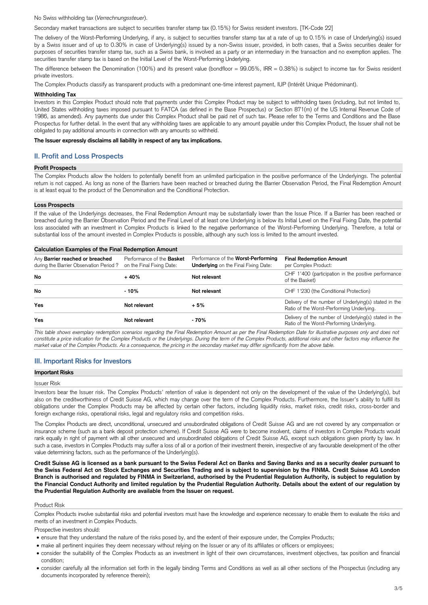No Swiss withholding tax (*Verrechnungssteuer*).

Secondary market transactions are subject to securities transfer stamp tax (0.15%) for Swiss resident investors. [TK-Code 22]

The delivery of the Worst-Performing Underlying, if any, is subject to securities transfer stamp tax at a rate of up to 0.15% in case of Underlying(s) issued by a Swiss issuer and of up to 0.30% in case of Underlying(s) issued by a non-Swiss issuer, provided, in both cases, that a Swiss securities dealer for purposes of securities transfer stamp tax, such as a Swiss bank, is involved as a party or an intermediary in the transaction and no exemption applies. The securities transfer stamp tax is based on the Initial Level of the Worst-Performing Underlying.

The difference between the Denomination (100%) and its present value (bondfloor = 99.05%, IRR = 0.38%) is subject to income tax for Swiss resident private investors.

The Complex Products classify as transparent products with a predominant one-time interest payment, IUP (Intérêt Unique Prédominant).

## **Withholding Tax**

Investors in this Complex Product should note that payments under this Complex Product may be subject to withholding taxes (including, but not limited to, United States withholding taxes imposed pursuant to FATCA (as defined in the Base Prospectus) or Section 871(m) of the US Internal Revenue Code of 1986, as amended). Any payments due under this Complex Product shall be paid net of such tax. Please refer to the Terms and Conditions and the Base Prospectus for further detail. In the event that any withholding taxes are applicable to any amount payable under this Complex Product, the Issuer shall not be obligated to pay additional amounts in connection with any amounts so withheld.

## **The Issuer expressly disclaims all liability in respect of any tax implications.**

## **II. Profit and Loss Prospects**

## **Profit Prospects**

The Complex Products allow the holders to potentially benefit from an unlimited participation in the positive performance of the Underlyings. The potential return is not capped. As long as none of the Barriers have been reached or breached during the Barrier Observation Period, the Final Redemption Amount is at least equal to the product of the Denomination and the Conditional Protection.

#### **Loss Prospects**

If the value of the Underlyings decreases, the Final Redemption Amount may be substantially lower than the Issue Price. If a Barrier has been reached or breached during the Barrier Observation Period and the Final Level of at least one Underlying is below its Initial Level on the Final Fixing Date, the potential loss associated with an investment in Complex Products is linked to the negative performance of the Worst-Performing Underlying. Therefore, a total or substantial loss of the amount invested in Complex Products is possible, although any such loss is limited to the amount invested.

## **Calculation Examples of the Final Redemption Amount**

| Any Barrier reached or breached<br>during the Barrier Observation Period? | Performance of the <b>Basket</b><br>on the Final Fixing Date: | Performance of the Worst-Performing<br><b>Underlying</b> on the Final Fixing Date: | <b>Final Redemption Amount</b><br>per Complex Product:                                             |
|---------------------------------------------------------------------------|---------------------------------------------------------------|------------------------------------------------------------------------------------|----------------------------------------------------------------------------------------------------|
| <b>No</b>                                                                 | $+40%$                                                        | Not relevant                                                                       | CHF 1'400 (participation in the positive performance<br>of the Basket)                             |
| No                                                                        | - 10%                                                         | Not relevant                                                                       | CHF 1'230 (the Conditional Protection)                                                             |
| <b>Yes</b>                                                                | Not relevant                                                  | $+5%$                                                                              | Delivery of the number of Underlying(s) stated in the<br>Ratio of the Worst-Performing Underlying. |
| <b>Yes</b>                                                                | Not relevant                                                  | $-70%$                                                                             | Delivery of the number of Underlying(s) stated in the<br>Ratio of the Worst-Performing Underlying. |

*This table shows exemplary redemption scenarios regarding the Final Redemption Amount as per the Final Redemption Date for illustrative purposes only and does not constitute a price indication for the Complex Products or the Underlyings. During the term of the Complex Products, additional risks and other factors may influence the market value of the Complex Products. As a consequence, the pricing in the secondary market may differ significantly from the above table.*

# **III. Important Risks for Investors**

#### **Important Risks**

## Issuer Risk

Investors bear the Issuer risk. The Complex Products' retention of value is dependent not only on the development of the value of the Underlying(s), but also on the creditworthiness of Credit Suisse AG, which may change over the term of the Complex Products. Furthermore, the Issuer's ability to fulfill its obligations under the Complex Products may be affected by certain other factors, including liquidity risks, market risks, credit risks, cross-border and foreign exchange risks, operational risks, legal and regulatory risks and competition risks.

The Complex Products are direct, unconditional, unsecured and unsubordinated obligations of Credit Suisse AG and are not covered by any compensation or insurance scheme (such as a bank deposit protection scheme). If Credit Suisse AG were to become insolvent, claims of investors in Complex Products would rank equally in right of payment with all other unsecured and unsubordinated obligations of Credit Suisse AG, except such obligations given priority by law. In such a case, investors in Complex Products may suffer a loss of all or a portion of their investment therein, irrespective of any favourable development of the other value determining factors, such as the performance of the Underlying(s).

**Credit Suisse AG is licensed as a bank pursuant to the Swiss Federal Act on Banks and Saving Banks and as a security dealer pursuant to the Swiss Federal Act on Stock Exchanges and Securities Trading and is subject to supervision by the FINMA. Credit Suisse AG London Branch is authorised and regulated by FINMA in Switzerland, authorised by the Prudential Regulation Authority, is subject to regulation by the Financial Conduct Authority and limited regulation by the Prudential Regulation Authority. Details about the extent of our regulation by the Prudential Regulation Authority are available from the Issuer on request.**

#### Product Risk

Complex Products involve substantial risks and potential investors must have the knowledge and experience necessary to enable them to evaluate the risks and merits of an investment in Complex Products.

#### Prospective investors should:

- ensure that they understand the nature of the risks posed by, and the extent of their exposure under, the Complex Products;
- make all pertinent inquiries they deem necessary without relying on the Issuer or any of its affiliates or officers or employees;
- consider the suitability of the Complex Products as an investment in light of their own circumstances, investment objectives, tax position and financial condition;
- consider carefully all the information set forth in the legally binding Terms and Conditions as well as all other sections of the Prospectus (including any documents incorporated by reference therein);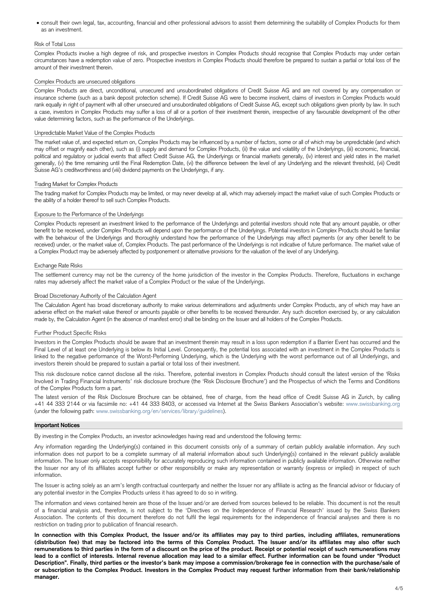• consult their own legal, tax, accounting, financial and other professional advisors to assist them determining the suitability of Complex Products for them as an investment.

## Risk of Total Loss

Complex Products involve a high degree of risk, and prospective investors in Complex Products should recognise that Complex Products may under certain circumstances have a redemption value of zero. Prospective investors in Complex Products should therefore be prepared to sustain a partial or total loss of the amount of their investment therein.

## Complex Products are unsecured obligations

Complex Products are direct, unconditional, unsecured and unsubordinated obligations of Credit Suisse AG and are not covered by any compensation or insurance scheme (such as a bank deposit protection scheme). If Credit Suisse AG were to become insolvent, claims of investors in Complex Products would rank equally in right of payment with all other unsecured and unsubordinated obligations of Credit Suisse AG, except such obligations given priority by law. In such a case, investors in Complex Products may suffer a loss of all or a portion of their investment therein, irrespective of any favourable development of the other value determining factors, such as the performance of the Underlyings.

## Unpredictable Market Value of the Complex Products

The market value of, and expected return on, Complex Products may be influenced by a number of factors, some or all of which may be unpredictable (and which may offset or magnify each other), such as (i) supply and demand for Complex Products, (ii) the value and volatility of the Underlyings, (iii) economic, financial, political and regulatory or judicial events that affect Credit Suisse AG, the Underlyings or financial markets generally, (iv) interest and yield rates in the market generally, (v) the time remaining until the Final Redemption Date, (vi) the difference between the level of any Underlying and the relevant threshold, (vii) Credit Suisse AG's creditworthiness and (viii) dividend payments on the Underlyings, if any.

## Trading Market for Complex Products

The trading market for Complex Products may be limited, or may never develop at all, which may adversely impact the market value of such Complex Products or the ability of a holder thereof to sell such Complex Products.

#### Exposure to the Performance of the Underlyings

Complex Products represent an investment linked to the performance of the Underlyings and potential investors should note that any amount payable, or other benefit to be received, under Complex Products will depend upon the performance of the Underlyings. Potential investors in Complex Products should be familiar with the behaviour of the Underlyings and thoroughly understand how the performance of the Underlyings may affect payments (or any other benefit to be received) under, or the market value of, Complex Products. The past performance of the Underlyings is not indicative of future performance. The market value of a Complex Product may be adversely affected by postponement or alternative provisions for the valuation of the level of any Underlying.

Any information regarding the Underlying(s) contained in this document consists only of a summary of certain publicly available information. Any such information does not purport to be a complete summary of all material information about such Underlying(s) contained in the relevant publicly available

## Exchange Rate Risks

The settlement currency may not be the currency of the home jurisdiction of the investor in the Complex Products. Therefore, fluctuations in exchange rates may adversely affect the market value of a Complex Product or the value of the Underlyings.

#### Broad Discretionary Authority of the Calculation Agent

The Calculation Agent has broad discretionary authority to make various determinations and adjustments under Complex Products, any of which may have an adverse effect on the market value thereof or amounts payable or other benefits to be received thereunder. Any such discretion exercised by, or any calculation made by, the Calculation Agent (in the absence of manifest error) shall be binding on the Issuer and all holders of the Complex Products.

#### Further Product Specific Risks

Investors in the Complex Products should be aware that an investment therein may result in a loss upon redemption if a Barrier Event has occurred and the Final Level of at least one Underlying is below its Initial Level. Consequently, the potential loss associated with an investment in the Complex Products is linked to the negative performance of the Worst-Performing Underlying, which is the Underlying with the worst performance out of all Underlyings, and investors therein should be prepared to sustain a partial or total loss of their investment.

This risk disclosure notice cannot disclose all the risks. Therefore, potential investors in Complex Products should consult the latest version of the 'Risks Involved in Trading Financial Instruments' risk disclosure brochure (the 'Risk Disclosure Brochure') and the Prospectus of which the Terms and Conditions of the Complex Products form a part.

The latest version of the Risk Disclosure Brochure can be obtained, free of charge, from the head office of Credit Suisse AG in Zurich, by calling +41 44 333 2144 or via facsimile no: +41 44 333 8403, or accessed via Internet at the Swiss Bankers Association's website: www.swissbanking.org (under the following path: [www.swissbanking.org/en/services/library/guidelines\)](http://www.swissbanking.org/en/services/library/guidelines).

#### **Important Notices**

By investing in the Complex Products, an investor acknowledges having read and understood the following terms:

information. The Issuer only accepts responsibility for accurately reproducing such information contained in publicly available information. Otherwise neither the Issuer nor any of its affiliates accept further or other responsibility or make any representation or warranty (express or implied) in respect of such information.

The Issuer is acting solely as an arm's length contractual counterparty and neither the Issuer nor any affiliate is acting as the financial advisor or fiduciary of any potential investor in the Complex Products unless it has agreed to do so in writing.

The information and views contained herein are those of the Issuer and/or are derived from sources believed to be reliable. This document is not the result of a financial analysis and, therefore, is not subject to the 'Directives on the Independence of Financial Research' issued by the Swiss Bankers Association. The contents of this document therefore do not fulfil the legal requirements for the independence of financial analyses and there is no restriction on trading prior to publication of financial research.

**In connection with this Complex Product, the Issuer and/or its affiliates may pay to third parties, including affiliates, remunerations (distribution fee) that may be factored into the terms of this Complex Product. The Issuer and/or its affiliates may also offer such remunerations to third parties in the form of a discount on the price of the product. Receipt or potential receipt of such remunerations may lead to a conflict of interests. Internal revenue allocation may lead to a similar effect. Further information can be found under "Product Description". Finally, third parties or the investor's bank may impose a commission/brokerage fee in connection with the purchase/sale of or subscription to the Complex Product. Investors in the Complex Product may request further information from their bank/relationship manager.**